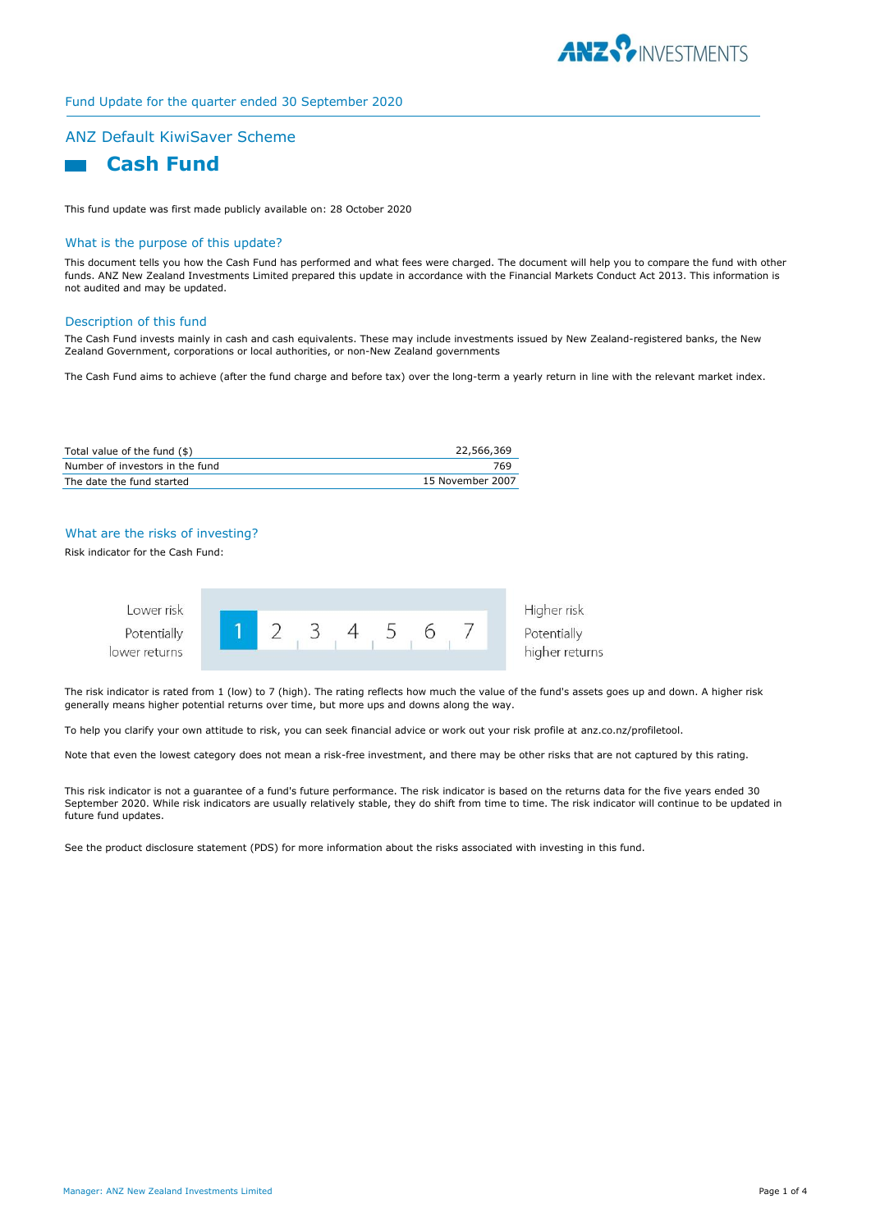

# Fund Update for the quarter ended 30 September 2020

# ANZ Default KiwiSaver Scheme



This fund update was first made publicly available on: 28 October 2020

## What is the purpose of this update?

This document tells you how the Cash Fund has performed and what fees were charged. The document will help you to compare the fund with other funds. ANZ New Zealand Investments Limited prepared this update in accordance with the Financial Markets Conduct Act 2013. This information is not audited and may be updated.

### Description of this fund

The Cash Fund invests mainly in cash and cash equivalents. These may include investments issued by New Zealand-registered banks, the New Zealand Government, corporations or local authorities, or non-New Zealand governments

The Cash Fund aims to achieve (after the fund charge and before tax) over the long-term a yearly return in line with the relevant market index.

| Total value of the fund (\$)    | 22,566,369       |
|---------------------------------|------------------|
| Number of investors in the fund | 769              |
| The date the fund started       | 15 November 2007 |

## What are the risks of investing?

Risk indicator for the Cash Fund:

| Lower risk<br>Potentially |  |  |  | Higher risk<br>Potentially |
|---------------------------|--|--|--|----------------------------|
| lower returns             |  |  |  | higher returns             |

The risk indicator is rated from 1 (low) to 7 (high). The rating reflects how much the value of the fund's assets goes up and down. A higher risk generally means higher potential returns over time, but more ups and downs along the way.

To help you clarify your own attitude to risk, you can seek financial advice or work out your risk profile at anz.co.nz/profiletool.

Note that even the lowest category does not mean a risk-free investment, and there may be other risks that are not captured by this rating.

This risk indicator is not a guarantee of a fund's future performance. The risk indicator is based on the returns data for the five years ended 30 September 2020. While risk indicators are usually relatively stable, they do shift from time to time. The risk indicator will continue to be updated in future fund updates.

See the product disclosure statement (PDS) for more information about the risks associated with investing in this fund.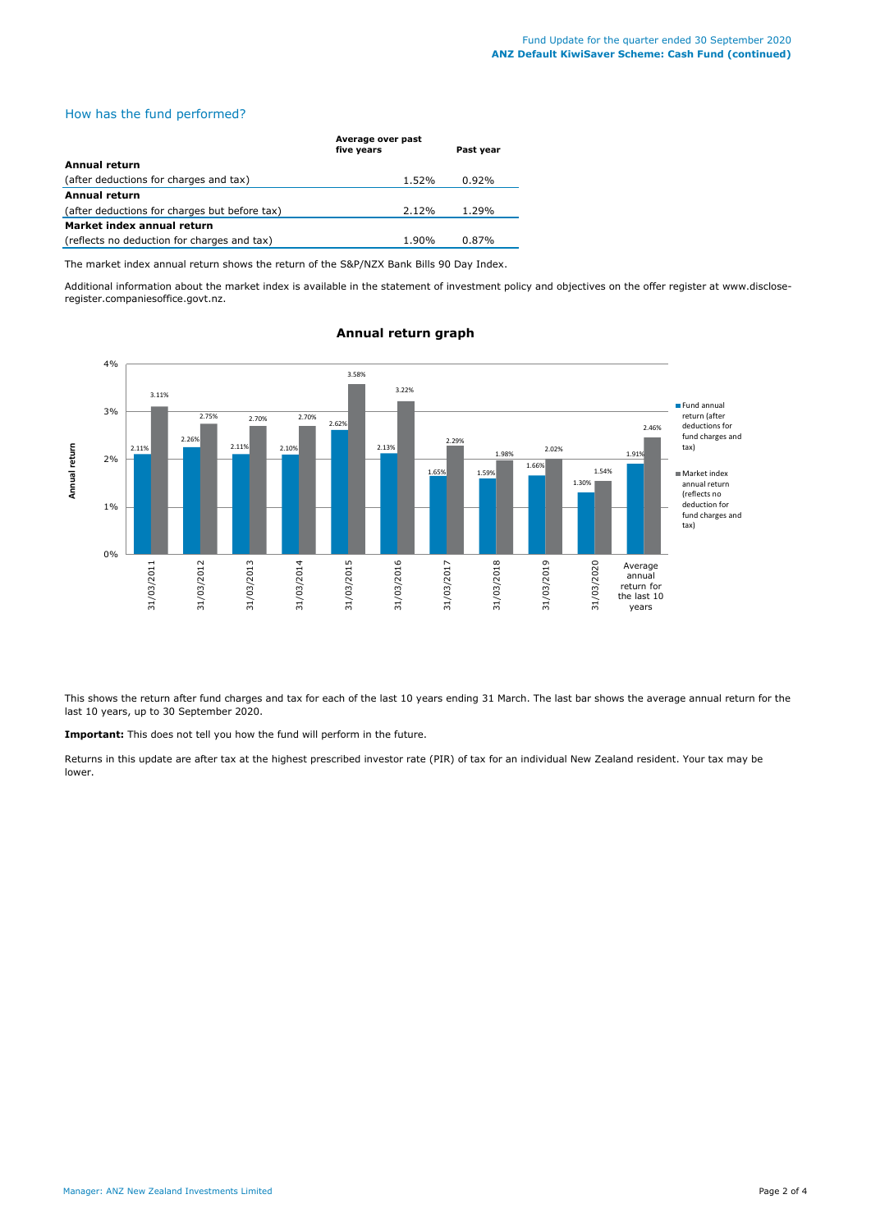# How has the fund performed?

|                                               | Average over past<br>five years | Past year |  |
|-----------------------------------------------|---------------------------------|-----------|--|
| Annual return                                 |                                 |           |  |
| (after deductions for charges and tax)        | 1.52%                           | 0.92%     |  |
| Annual return                                 |                                 |           |  |
| (after deductions for charges but before tax) | 2.12%                           | 1.29%     |  |
| Market index annual return                    |                                 |           |  |
| (reflects no deduction for charges and tax)   | 1.90%                           | 0.87%     |  |

The market index annual return shows the return of the S&P/NZX Bank Bills 90 Day Index.

Additional information about the market index is available in the statement of investment policy and objectives on the offer register at www.discloseregister.companiesoffice.govt.nz.



# **Annual return graph**

This shows the return after fund charges and tax for each of the last 10 years ending 31 March. The last bar shows the average annual return for the last 10 years, up to 30 September 2020.

**Important:** This does not tell you how the fund will perform in the future.

Returns in this update are after tax at the highest prescribed investor rate (PIR) of tax for an individual New Zealand resident. Your tax may be lower.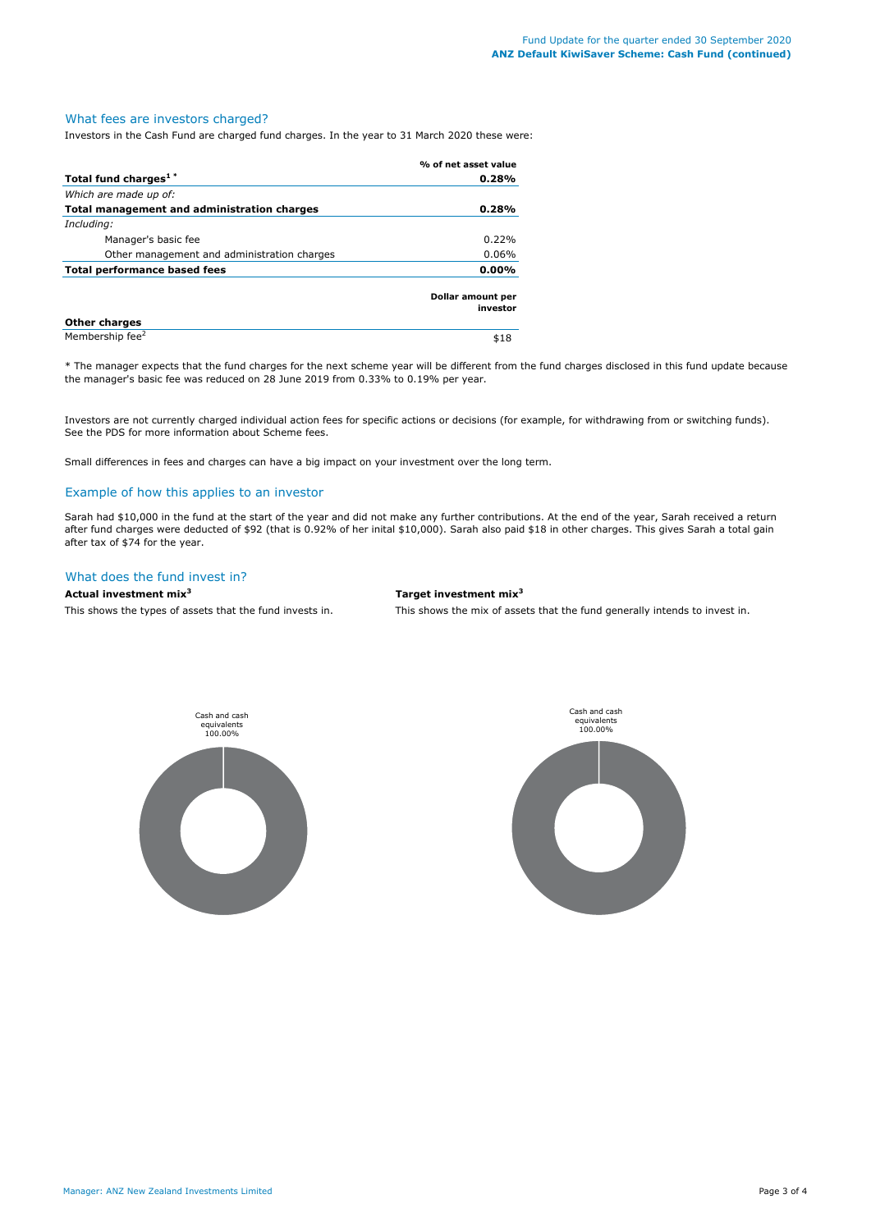# What fees are investors charged?

Investors in the Cash Fund are charged fund charges. In the year to 31 March 2020 these were:

|                                             | % of net asset value          |
|---------------------------------------------|-------------------------------|
| Total fund charges <sup>1*</sup>            | 0.28%                         |
| Which are made up of:                       |                               |
| Total management and administration charges | 0.28%                         |
| Including:                                  |                               |
| Manager's basic fee                         | 0.22%                         |
| Other management and administration charges | $0.06\%$                      |
| Total performance based fees                | $0.00\%$                      |
|                                             | Dollar amount per<br>investor |
| <b>Other charges</b>                        |                               |
| Membership fee <sup>2</sup>                 | \$18                          |

\* The manager expects that the fund charges for the next scheme year will be different from the fund charges disclosed in this fund update because the manager's basic fee was reduced on 28 June 2019 from 0.33% to 0.19% per year.

Investors are not currently charged individual action fees for specific actions or decisions (for example, for withdrawing from or switching funds). See the PDS for more information about Scheme fees.

Small differences in fees and charges can have a big impact on your investment over the long term.

## Example of how this applies to an investor

Sarah had \$10,000 in the fund at the start of the year and did not make any further contributions. At the end of the year, Sarah received a return after fund charges were deducted of \$92 (that is 0.92% of her inital \$10,000). Sarah also paid \$18 in other charges. This gives Sarah a total gain after tax of \$74 for the year.

# What does the fund invest in?

#### **Actual investment mix<sup>3</sup> Target investment mix<sup>3</sup>**

This shows the types of assets that the fund invests in. This shows the mix of assets that the fund generally intends to invest in.